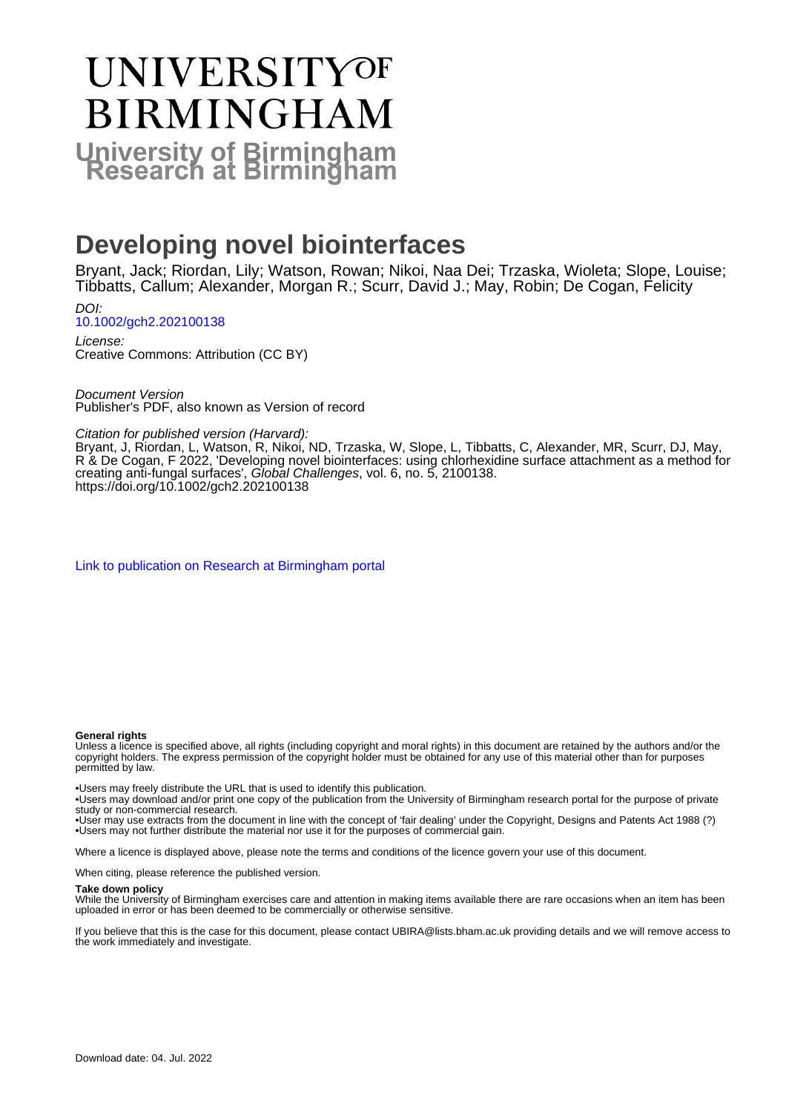# UNIVERSITYOF **BIRMINGHAM University of Birmingham**

## **Developing novel biointerfaces**

Bryant, Jack; Riordan, Lily; Watson, Rowan; Nikoi, Naa Dei; Trzaska, Wioleta; Slope, Louise; Tibbatts, Callum; Alexander, Morgan R.; Scurr, David J.; May, Robin; De Cogan, Felicity

DOI: [10.1002/gch2.202100138](https://doi.org/10.1002/gch2.202100138)

License: Creative Commons: Attribution (CC BY)

Document Version Publisher's PDF, also known as Version of record

Citation for published version (Harvard):

Bryant, J, Riordan, L, Watson, R, Nikoi, ND, Trzaska, W, Slope, L, Tibbatts, C, Alexander, MR, Scurr, DJ, May, R & De Cogan, F 2022, 'Developing novel biointerfaces: using chlorhexidine surface attachment as a method for creating anti-fungal surfaces', Global Challenges, vol. 6, no. 5, 2100138. <https://doi.org/10.1002/gch2.202100138>

[Link to publication on Research at Birmingham portal](https://birmingham.elsevierpure.com/en/publications/07721429-90a2-4eb0-b282-ecda37e7a305)

#### **General rights**

Unless a licence is specified above, all rights (including copyright and moral rights) in this document are retained by the authors and/or the copyright holders. The express permission of the copyright holder must be obtained for any use of this material other than for purposes permitted by law.

• Users may freely distribute the URL that is used to identify this publication.

• Users may download and/or print one copy of the publication from the University of Birmingham research portal for the purpose of private study or non-commercial research.

• User may use extracts from the document in line with the concept of 'fair dealing' under the Copyright, Designs and Patents Act 1988 (?) • Users may not further distribute the material nor use it for the purposes of commercial gain.

Where a licence is displayed above, please note the terms and conditions of the licence govern your use of this document.

When citing, please reference the published version.

#### **Take down policy**

While the University of Birmingham exercises care and attention in making items available there are rare occasions when an item has been uploaded in error or has been deemed to be commercially or otherwise sensitive.

If you believe that this is the case for this document, please contact UBIRA@lists.bham.ac.uk providing details and we will remove access to the work immediately and investigate.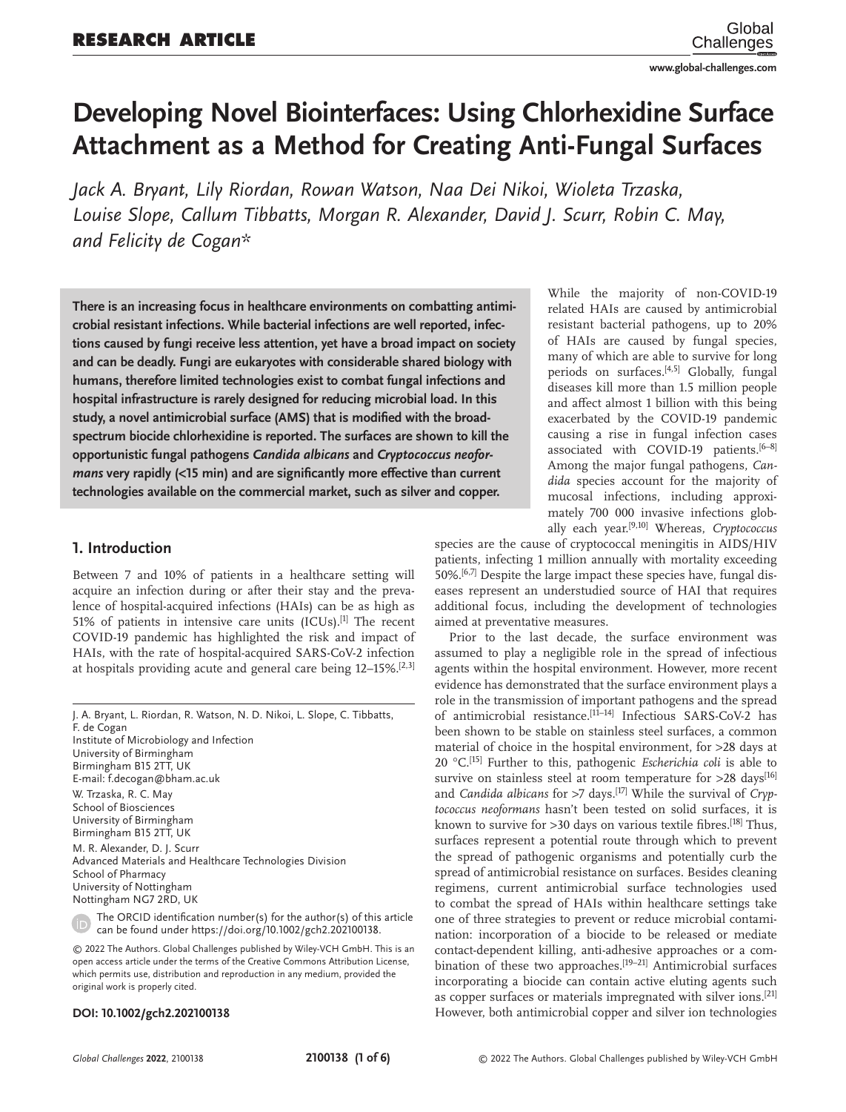**www.global-challenges.com**

## **Developing Novel Biointerfaces: Using Chlorhexidine Surface Attachment as a Method for Creating Anti-Fungal Surfaces**

*Jack A. Bryant, Lily Riordan, Rowan Watson, Naa Dei Nikoi, Wioleta Trzaska, Louise Slope, Callum Tibbatts, Morgan R. Alexander, David J. Scurr, Robin C. May, and Felicity de Cogan\**

**There is an increasing focus in healthcare environments on combatting antimicrobial resistant infections. While bacterial infections are well reported, infections caused by fungi receive less attention, yet have a broad impact on society and can be deadly. Fungi are eukaryotes with considerable shared biology with humans, therefore limited technologies exist to combat fungal infections and hospital infrastructure is rarely designed for reducing microbial load. In this study, a novel antimicrobial surface (AMS) that is modified with the broadspectrum biocide chlorhexidine is reported. The surfaces are shown to kill the opportunistic fungal pathogens** *Candida albicans* **and** *Cryptococcus neoformans* **very rapidly (<15 min) and are significantly more effective than current technologies available on the commercial market, such as silver and copper.**

#### **1. Introduction**

Between 7 and 10% of patients in a healthcare setting will acquire an infection during or after their stay and the prevalence of hospital-acquired infections (HAIs) can be as high as 51% of patients in intensive care units  $(ICUs).$ <sup>[1]</sup> The recent COVID-19 pandemic has highlighted the risk and impact of HAIs, with the rate of hospital-acquired SARS-CoV-2 infection at hospitals providing acute and general care being 12–15%.[2,3]

J. A. Bryant, L. Riordan, R. Watson, N. D. Nikoi, L. Slope, C. Tibbatts, F. de Cogan Institute of Microbiology and Infection University of Birmingham Birmingham B15 2TT, UK E-mail: f.decogan@bham.ac.uk W. Trzaska, R. C. May School of Biosciences University of Birmingham Birmingham B15 2TT, UK M. R. Alexander, D. J. Scurr Advanced Materials and Healthcare Technologies Division School of Pharmacy University of Nottingham Nottingham NG7 2RD, UK

The ORCID identification number(s) for the author(s) of this article can be found under https://doi.org/10.1002/gch2.202100138.

© 2022 The Authors. Global Challenges published by Wiley-VCH GmbH. This is an open access article under the terms of the Creative Commons Attribution License, which permits use, distribution and reproduction in any medium, provided the original work is properly cited.

#### **DOI: 10.1002/gch2.202100138**

While the majority of non-COVID-19 related HAIs are caused by antimicrobial resistant bacterial pathogens, up to 20% of HAIs are caused by fungal species, many of which are able to survive for long periods on surfaces.<sup>[4,5]</sup> Globally, fungal diseases kill more than 1.5 million people and affect almost 1 billion with this being exacerbated by the COVID-19 pandemic causing a rise in fungal infection cases associated with COVID-19 patients.[6-8] Among the major fungal pathogens, *Candida* species account for the majority of mucosal infections, including approximately 700 000 invasive infections globally each year.[9,10] Whereas, *Cryptococcus*

species are the cause of cryptococcal meningitis in AIDS/HIV patients, infecting 1 million annually with mortality exceeding 50%.[6,7] Despite the large impact these species have, fungal diseases represent an understudied source of HAI that requires additional focus, including the development of technologies aimed at preventative measures.

Prior to the last decade, the surface environment was assumed to play a negligible role in the spread of infectious agents within the hospital environment. However, more recent evidence has demonstrated that the surface environment plays a role in the transmission of important pathogens and the spread of antimicrobial resistance.<sup>[11-14]</sup> Infectious SARS-CoV-2 has been shown to be stable on stainless steel surfaces, a common material of choice in the hospital environment, for >28 days at 20 °C.[15] Further to this, pathogenic *Escherichia coli* is able to survive on stainless steel at room temperature for  $>28$  days<sup>[16]</sup> and *Candida albicans* for >7 days.<sup>[17]</sup> While the survival of *Cryptococcus neoformans* hasn't been tested on solid surfaces, it is known to survive for >30 days on various textile fibres.<sup>[18]</sup> Thus, surfaces represent a potential route through which to prevent the spread of pathogenic organisms and potentially curb the spread of antimicrobial resistance on surfaces. Besides cleaning regimens, current antimicrobial surface technologies used to combat the spread of HAIs within healthcare settings take one of three strategies to prevent or reduce microbial contamination: incorporation of a biocide to be released or mediate contact-dependent killing, anti-adhesive approaches or a combination of these two approaches.<sup>[19-21]</sup> Antimicrobial surfaces incorporating a biocide can contain active eluting agents such as copper surfaces or materials impregnated with silver ions.[21] However, both antimicrobial copper and silver ion technologies

*Global Challenges* **2022**, 2100138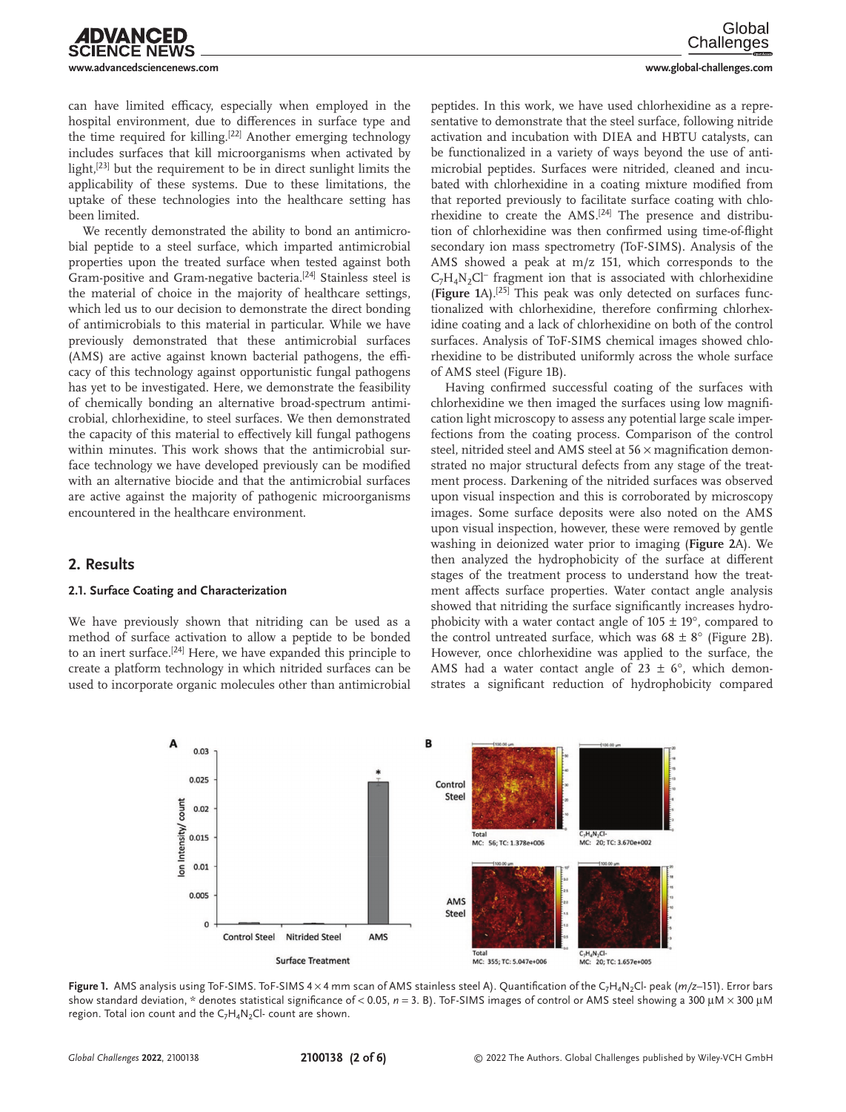can have limited efficacy, especially when employed in the hospital environment, due to differences in surface type and the time required for killing.<sup>[22]</sup> Another emerging technology includes surfaces that kill microorganisms when activated by light,<sup>[23]</sup> but the requirement to be in direct sunlight limits the applicability of these systems. Due to these limitations, the uptake of these technologies into the healthcare setting has been limited.

DVANCED

**JCE NEWS** 

We recently demonstrated the ability to bond an antimicrobial peptide to a steel surface, which imparted antimicrobial properties upon the treated surface when tested against both Gram-positive and Gram-negative bacteria.<sup>[24]</sup> Stainless steel is the material of choice in the majority of healthcare settings, which led us to our decision to demonstrate the direct bonding of antimicrobials to this material in particular. While we have previously demonstrated that these antimicrobial surfaces (AMS) are active against known bacterial pathogens, the efficacy of this technology against opportunistic fungal pathogens has yet to be investigated. Here, we demonstrate the feasibility of chemically bonding an alternative broad-spectrum antimicrobial, chlorhexidine, to steel surfaces. We then demonstrated the capacity of this material to effectively kill fungal pathogens within minutes. This work shows that the antimicrobial surface technology we have developed previously can be modified with an alternative biocide and that the antimicrobial surfaces are active against the majority of pathogenic microorganisms encountered in the healthcare environment.

#### **2. Results**

#### **2.1. Surface Coating and Characterization**

We have previously shown that nitriding can be used as a method of surface activation to allow a peptide to be bonded to an inert surface.<sup>[24]</sup> Here, we have expanded this principle to create a platform technology in which nitrided surfaces can be used to incorporate organic molecules other than antimicrobial

peptides. In this work, we have used chlorhexidine as a representative to demonstrate that the steel surface, following nitride activation and incubation with DIEA and HBTU catalysts, can be functionalized in a variety of ways beyond the use of antimicrobial peptides. Surfaces were nitrided, cleaned and incubated with chlorhexidine in a coating mixture modified from that reported previously to facilitate surface coating with chlorhexidine to create the AMS.<sup>[24]</sup> The presence and distribution of chlorhexidine was then confirmed using time-of-flight secondary ion mass spectrometry (ToF-SIMS). Analysis of the AMS showed a peak at m/z 151, which corresponds to the  $C_7H_4N_2Cl^-$  fragment ion that is associated with chlorhexidine (**Figure 1**A).[25] This peak was only detected on surfaces functionalized with chlorhexidine, therefore confirming chlorhexidine coating and a lack of chlorhexidine on both of the control surfaces. Analysis of ToF-SIMS chemical images showed chlorhexidine to be distributed uniformly across the whole surface of AMS steel (Figure 1B).

Having confirmed successful coating of the surfaces with chlorhexidine we then imaged the surfaces using low magnification light microscopy to assess any potential large scale imperfections from the coating process. Comparison of the control steel, nitrided steel and AMS steel at 56  $\times$  magnification demonstrated no major structural defects from any stage of the treatment process. Darkening of the nitrided surfaces was observed upon visual inspection and this is corroborated by microscopy images. Some surface deposits were also noted on the AMS upon visual inspection, however, these were removed by gentle washing in deionized water prior to imaging (**Figure 2**A). We then analyzed the hydrophobicity of the surface at different stages of the treatment process to understand how the treatment affects surface properties. Water contact angle analysis showed that nitriding the surface significantly increases hydrophobicity with a water contact angle of  $105 \pm 19^{\circ}$ , compared to the control untreated surface, which was  $68 \pm 8^\circ$  (Figure 2B). However, once chlorhexidine was applied to the surface, the AMS had a water contact angle of 23  $\pm$  6°, which demonstrates a significant reduction of hydrophobicity compared



Figure 1. AMS analysis using ToF-SIMS. ToF-SIMS 4 × 4 mm scan of AMS stainless steel A). Quantification of the C<sub>7</sub>H<sub>4</sub>N<sub>2</sub>Cl- peak (*m*/z–151). Error bars show standard deviation, \* denotes statistical significance of < 0.05, *n* = 3. B). ToF-SIMS images of control or AMS steel showing a 300 μM × 300 μM region. Total ion count and the  $C_7H_4N_2Cl$ - count are shown.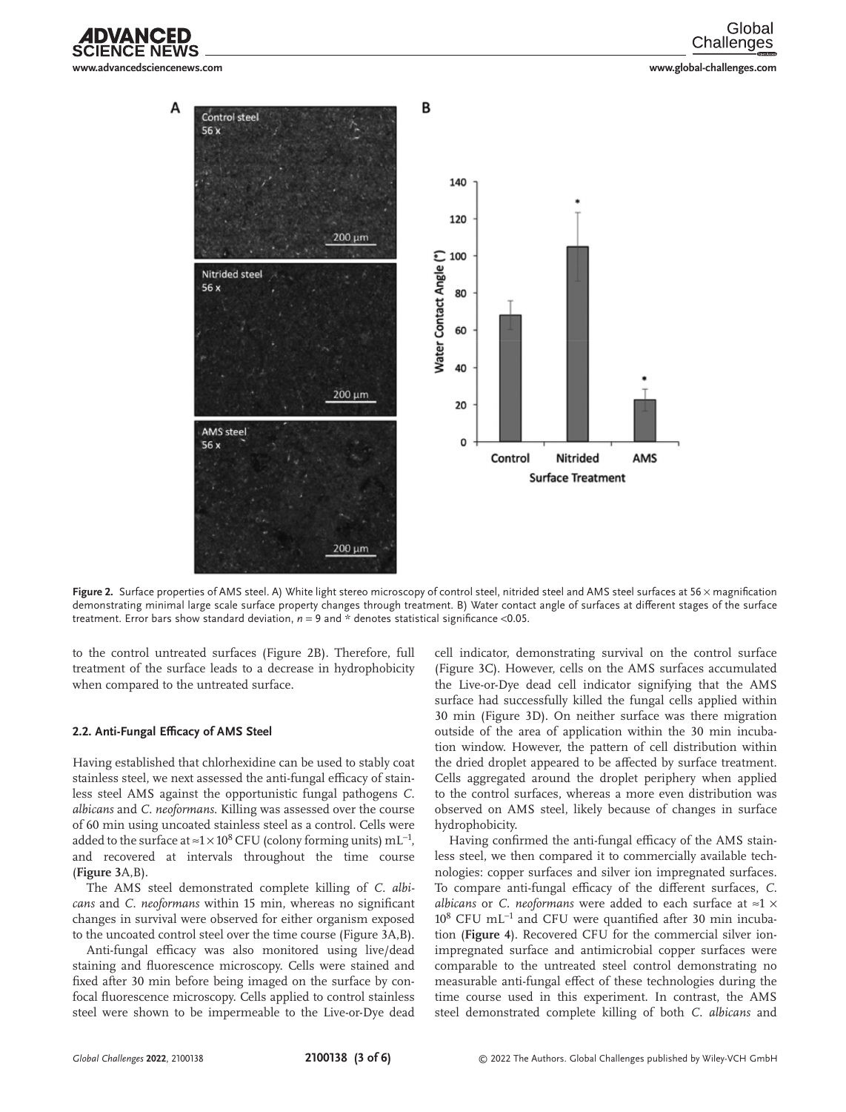**www.advancedsciencenews.com www.global-challenges.com**



Figure 2. Surface properties of AMS steel. A) White light stereo microscopy of control steel, nitrided steel and AMS steel surfaces at 56 x magnification demonstrating minimal large scale surface property changes through treatment. B) Water contact angle of surfaces at different stages of the surface treatment. Error bars show standard deviation,  $n = 9$  and  $*$  denotes statistical significance <0.05.

to the control untreated surfaces (Figure 2B). Therefore, full treatment of the surface leads to a decrease in hydrophobicity when compared to the untreated surface.

#### **2.2. Anti-Fungal Efficacy of AMS Steel**

ANCED

Having established that chlorhexidine can be used to stably coat stainless steel, we next assessed the anti-fungal efficacy of stainless steel AMS against the opportunistic fungal pathogens *C. albicans* and *C. neoformans*. Killing was assessed over the course of 60 min using uncoated stainless steel as a control. Cells were added to the surface at ≈1 × 10<sup>8</sup> CFU (colony forming units) mL<sup>-1</sup>, and recovered at intervals throughout the time course (**Figure 3**A,B).

The AMS steel demonstrated complete killing of *C. albicans* and *C. neoformans* within 15 min, whereas no significant changes in survival were observed for either organism exposed to the uncoated control steel over the time course (Figure 3A,B).

Anti-fungal efficacy was also monitored using live/dead staining and fluorescence microscopy. Cells were stained and fixed after 30 min before being imaged on the surface by confocal fluorescence microscopy. Cells applied to control stainless steel were shown to be impermeable to the Live-or-Dye dead cell indicator, demonstrating survival on the control surface (Figure 3C). However, cells on the AMS surfaces accumulated the Live-or-Dye dead cell indicator signifying that the AMS surface had successfully killed the fungal cells applied within 30 min (Figure 3D). On neither surface was there migration outside of the area of application within the 30 min incubation window. However, the pattern of cell distribution within the dried droplet appeared to be affected by surface treatment. Cells aggregated around the droplet periphery when applied to the control surfaces, whereas a more even distribution was observed on AMS steel, likely because of changes in surface hydrophobicity.

Having confirmed the anti-fungal efficacy of the AMS stainless steel, we then compared it to commercially available technologies: copper surfaces and silver ion impregnated surfaces. To compare anti-fungal efficacy of the different surfaces, *C. albicans* or *C. neoformans* were added to each surface at ≈1 × 10<sup>8</sup> CFU mL<sup>-1</sup> and CFU were quantified after 30 min incubation (**Figure 4**). Recovered CFU for the commercial silver ionimpregnated surface and antimicrobial copper surfaces were comparable to the untreated steel control demonstrating no measurable anti-fungal effect of these technologies during the time course used in this experiment. In contrast, the AMS steel demonstrated complete killing of both *C. albicans* and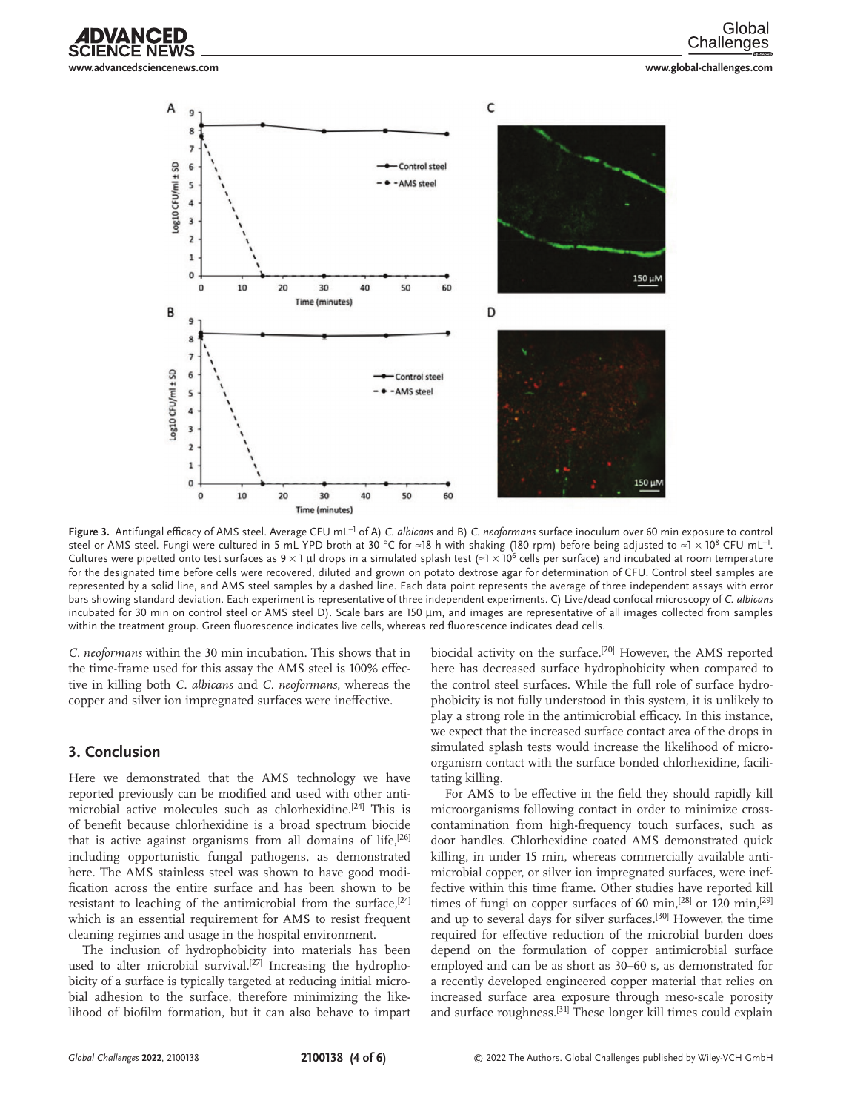

Global Challenges



**Figure 3.** Antifungal efficacy of AMS steel. Average CFU mL−<sup>1</sup> of A) *C. albicans* and B) *C. neoformans* surface inoculum over 60 min exposure to control steel or AMS steel. Fungi were cultured in 5 mL YPD broth at 30 °C for ≈18 h with shaking (180 rpm) before being adjusted to ≈1 × 108 CFU mL $^{\!-\!1}$ . Cultures were pipetted onto test surfaces as  $9 \times 1$  µl drops in a simulated splash test  $\approx 1 \times 10^6$  cells per surface) and incubated at room temperature for the designated time before cells were recovered, diluted and grown on potato dextrose agar for determination of CFU. Control steel samples are represented by a solid line, and AMS steel samples by a dashed line. Each data point represents the average of three independent assays with error bars showing standard deviation. Each experiment is representative of three independent experiments. C) Live/dead confocal microscopy of *C. albicans* incubated for 30 min on control steel or AMS steel D). Scale bars are 150 µm, and images are representative of all images collected from samples within the treatment group. Green fluorescence indicates live cells, whereas red fluorescence indicates dead cells.

*C. neoformans* within the 30 min incubation. This shows that in the time-frame used for this assay the AMS steel is 100% effective in killing both *C. albicans* and *C. neoformans*, whereas the copper and silver ion impregnated surfaces were ineffective.

#### **3. Conclusion**

Here we demonstrated that the AMS technology we have reported previously can be modified and used with other antimicrobial active molecules such as chlorhexidine.[24] This is of benefit because chlorhexidine is a broad spectrum biocide that is active against organisms from all domains of life,<sup>[26]</sup> including opportunistic fungal pathogens, as demonstrated here. The AMS stainless steel was shown to have good modification across the entire surface and has been shown to be resistant to leaching of the antimicrobial from the surface,  $[24]$ which is an essential requirement for AMS to resist frequent cleaning regimes and usage in the hospital environment.

The inclusion of hydrophobicity into materials has been used to alter microbial survival.<sup>[27]</sup> Increasing the hydrophobicity of a surface is typically targeted at reducing initial microbial adhesion to the surface, therefore minimizing the likelihood of biofilm formation, but it can also behave to impart

biocidal activity on the surface.<sup>[20]</sup> However, the AMS reported here has decreased surface hydrophobicity when compared to the control steel surfaces. While the full role of surface hydrophobicity is not fully understood in this system, it is unlikely to play a strong role in the antimicrobial efficacy. In this instance, we expect that the increased surface contact area of the drops in simulated splash tests would increase the likelihood of microorganism contact with the surface bonded chlorhexidine, facilitating killing.

For AMS to be effective in the field they should rapidly kill microorganisms following contact in order to minimize crosscontamination from high-frequency touch surfaces, such as door handles. Chlorhexidine coated AMS demonstrated quick killing, in under 15 min, whereas commercially available antimicrobial copper, or silver ion impregnated surfaces, were ineffective within this time frame. Other studies have reported kill times of fungi on copper surfaces of 60 min,<sup>[28]</sup> or 120 min,<sup>[29]</sup> and up to several days for silver surfaces.<sup>[30]</sup> However, the time required for effective reduction of the microbial burden does depend on the formulation of copper antimicrobial surface employed and can be as short as 30–60 s, as demonstrated for a recently developed engineered copper material that relies on increased surface area exposure through meso-scale porosity and surface roughness.<sup>[31]</sup> These longer kill times could explain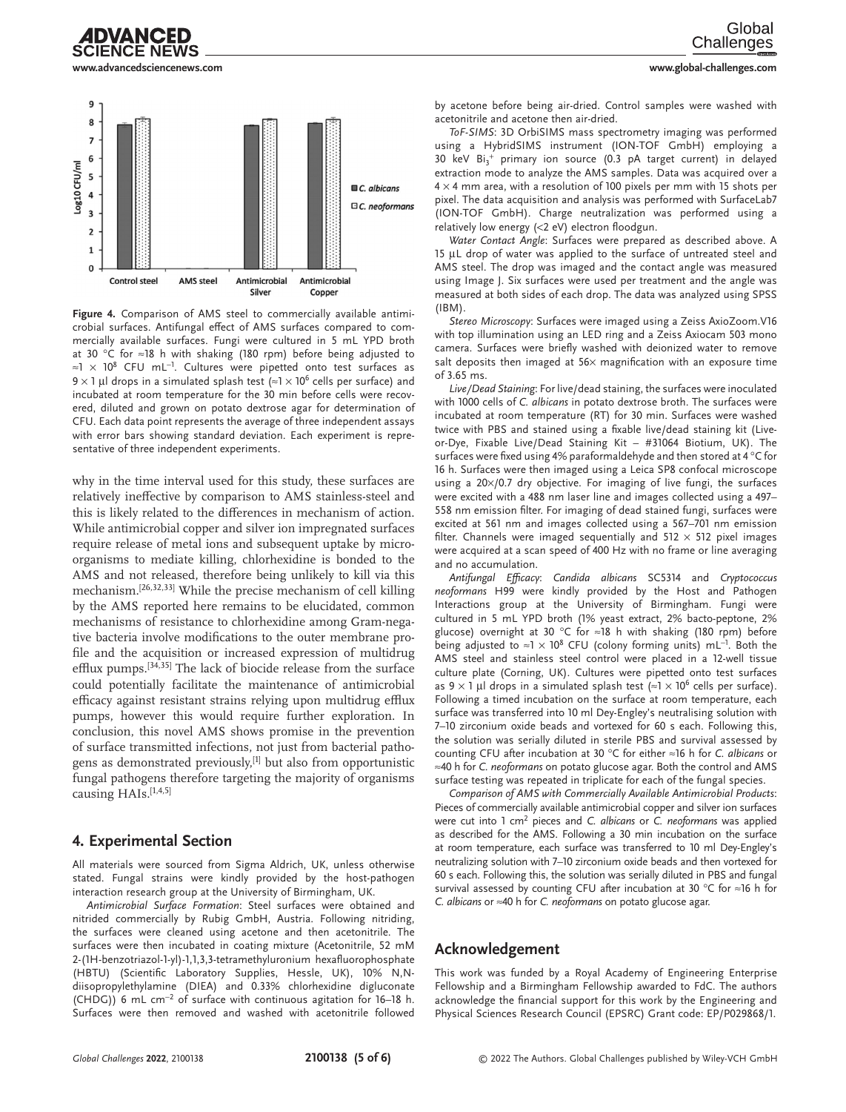

## IDVANCED



**Figure 4.** Comparison of AMS steel to commercially available antimicrobial surfaces. Antifungal effect of AMS surfaces compared to commercially available surfaces. Fungi were cultured in 5 mL YPD broth at 30 °C for ≈18 h with shaking (180 rpm) before being adjusted to ≈1 × 108 CFU mL<sup>−</sup><sup>1</sup> . Cultures were pipetted onto test surfaces as 9  $\times$  1 µl drops in a simulated splash test ( $\approx$ 1  $\times$  10<sup>6</sup> cells per surface) and incubated at room temperature for the 30 min before cells were recovered, diluted and grown on potato dextrose agar for determination of CFU. Each data point represents the average of three independent assays with error bars showing standard deviation. Each experiment is representative of three independent experiments.

why in the time interval used for this study, these surfaces are relatively ineffective by comparison to AMS stainless-steel and this is likely related to the differences in mechanism of action. While antimicrobial copper and silver ion impregnated surfaces require release of metal ions and subsequent uptake by microorganisms to mediate killing, chlorhexidine is bonded to the AMS and not released, therefore being unlikely to kill via this mechanism.[26,32,33] While the precise mechanism of cell killing by the AMS reported here remains to be elucidated, common mechanisms of resistance to chlorhexidine among Gram-negative bacteria involve modifications to the outer membrane profile and the acquisition or increased expression of multidrug efflux pumps.<sup>[34,35]</sup> The lack of biocide release from the surface could potentially facilitate the maintenance of antimicrobial efficacy against resistant strains relying upon multidrug efflux pumps, however this would require further exploration. In conclusion, this novel AMS shows promise in the prevention of surface transmitted infections, not just from bacterial pathogens as demonstrated previously,<sup>[1]</sup> but also from opportunistic fungal pathogens therefore targeting the majority of organisms causing HAIs.<sup>[1,4,5]</sup>

### **4. Experimental Section**

All materials were sourced from Sigma Aldrich, UK, unless otherwise stated. Fungal strains were kindly provided by the host-pathogen interaction research group at the University of Birmingham, UK.

*Antimicrobial Surface Formation*: Steel surfaces were obtained and nitrided commercially by Rubig GmbH, Austria. Following nitriding, the surfaces were cleaned using acetone and then acetonitrile. The surfaces were then incubated in coating mixture (Acetonitrile, 52 mM 2-(1H-benzotriazol-1-yl)-1,1,3,3-tetramethyluronium hexafluorophosphate (HBTU) (Scientific Laboratory Supplies, Hessle, UK), 10% N,Ndiisopropylethylamine (DIEA) and 0.33% chlorhexidine digluconate (CHDG)) 6 mL cm<sup>−</sup><sup>2</sup> of surface with continuous agitation for 16–18 h. Surfaces were then removed and washed with acetonitrile followed by acetone before being air-dried. Control samples were washed with acetonitrile and acetone then air-dried.

*ToF-SIMS*: 3D OrbiSIMS mass spectrometry imaging was performed using a HybridSIMS instrument (ION-TOF GmbH) employing a 30 keV Bi<sub>3</sub><sup>+</sup> primary ion source (0.3 pA target current) in delayed extraction mode to analyze the AMS samples. Data was acquired over a  $4 \times 4$  mm area, with a resolution of 100 pixels per mm with 15 shots per pixel. The data acquisition and analysis was performed with SurfaceLab7 (ION-TOF GmbH). Charge neutralization was performed using a relatively low energy (<2 eV) electron floodgun.

*Water Contact Angle*: Surfaces were prepared as described above. A 15 µL drop of water was applied to the surface of untreated steel and AMS steel. The drop was imaged and the contact angle was measured using Image J. Six surfaces were used per treatment and the angle was measured at both sides of each drop. The data was analyzed using SPSS  $(IBM).$ 

*Stereo Microscopy*: Surfaces were imaged using a Zeiss AxioZoom.V16 with top illumination using an LED ring and a Zeiss Axiocam 503 mono camera. Surfaces were briefly washed with deionized water to remove salt deposits then imaged at  $56\times$  magnification with an exposure time of 3.65 ms.

*Live/Dead Staining*: For live/dead staining, the surfaces were inoculated with 1000 cells of *C. albicans* in potato dextrose broth. The surfaces were incubated at room temperature (RT) for 30 min. Surfaces were washed twice with PBS and stained using a fixable live/dead staining kit (Liveor-Dye, Fixable Live/Dead Staining Kit – #31064 Biotium, UK). The surfaces were fixed using 4% paraformaldehyde and then stored at 4 °C for 16 h. Surfaces were then imaged using a Leica SP8 confocal microscope using a 20×/0.7 dry objective. For imaging of live fungi, the surfaces were excited with a 488 nm laser line and images collected using a 497– 558 nm emission filter. For imaging of dead stained fungi, surfaces were excited at 561 nm and images collected using a 567–701 nm emission filter. Channels were imaged sequentially and  $512 \times 512$  pixel images were acquired at a scan speed of 400 Hz with no frame or line averaging and no accumulation.

*Antifungal Efficacy*: *Candida albicans* SC5314 and *Cryptococcus neoformans* H99 were kindly provided by the Host and Pathogen Interactions group at the University of Birmingham. Fungi were cultured in 5 mL YPD broth (1% yeast extract, 2% bacto-peptone, 2% glucose) overnight at 30 °C for ≈18 h with shaking (180 rpm) before being adjusted to ≈1  $\times$  10<sup>8</sup> CFU (colony forming units) mL<sup>-1</sup>. Both the AMS steel and stainless steel control were placed in a 12-well tissue culture plate (Corning, UK). Cultures were pipetted onto test surfaces as  $9 \times 1$  µl drops in a simulated splash test (≈1 × 10<sup>6</sup> cells per surface). Following a timed incubation on the surface at room temperature, each surface was transferred into 10 ml Dey-Engley's neutralising solution with 7–10 zirconium oxide beads and vortexed for 60 s each. Following this, the solution was serially diluted in sterile PBS and survival assessed by counting CFU after incubation at 30 °C for either ≈16 h for *C. albicans* or ≈40 h for *C. neoformans* on potato glucose agar. Both the control and AMS surface testing was repeated in triplicate for each of the fungal species.

*Comparison of AMS with Commercially Available Antimicrobial Products*: Pieces of commercially available antimicrobial copper and silver ion surfaces were cut into 1 cm<sup>2</sup> pieces and *C. albicans* or *C. neoformans* was applied as described for the AMS. Following a 30 min incubation on the surface at room temperature, each surface was transferred to 10 ml Dey-Engley's neutralizing solution with 7–10 zirconium oxide beads and then vortexed for 60 s each. Following this, the solution was serially diluted in PBS and fungal survival assessed by counting CFU after incubation at 30 °C for ≈16 h for *C. albicans* or ≈40 h for *C. neoformans* on potato glucose agar.

#### **Acknowledgement**

This work was funded by a Royal Academy of Engineering Enterprise Fellowship and a Birmingham Fellowship awarded to FdC. The authors acknowledge the financial support for this work by the Engineering and Physical Sciences Research Council (EPSRC) Grant code: EP/P029868/1.